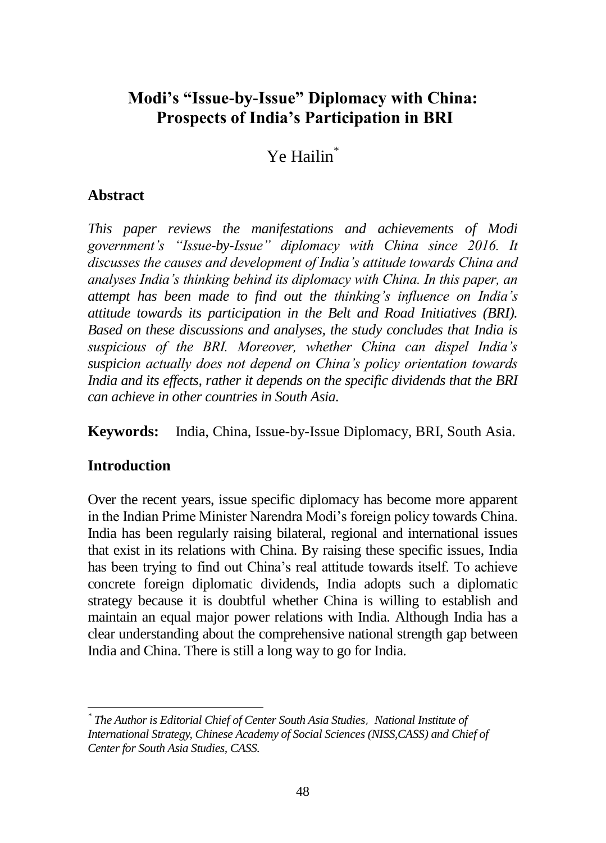# **Modi's "Issue-by-Issue" Diplomacy with China: Prospects of India's Participation in BRI**

# Ye Hailin\*

## **Abstract**

*This paper reviews the manifestations and achievements of Modi government's "Issue-by-Issue" diplomacy with China since 2016. It discusses the causes and development of India's attitude towards China and analyses India's thinking behind its diplomacy with China. In this paper, an attempt has been made to find out the thinking's influence on India's attitude towards its participation in the Belt and Road Initiatives (BRI). Based on these discussions and analyses, the study concludes that India is suspicious of the BRI. Moreover, whether China can dispel India's suspicion actually does not depend on China's policy orientation towards India and its effects, rather it depends on the specific dividends that the BRI can achieve in other countries in South Asia.*

**Keywords:** India, China, Issue-by-Issue Diplomacy, BRI, South Asia.

# **Introduction**

Over the recent years, issue specific diplomacy has become more apparent in the Indian Prime Minister Narendra Modi's foreign policy towards China. India has been regularly raising bilateral, regional and international issues that exist in its relations with China. By raising these specific issues, India has been trying to find out China's real attitude towards itself. To achieve concrete foreign diplomatic dividends, India adopts such a diplomatic strategy because it is doubtful whether China is willing to establish and maintain an equal major power relations with India. Although India has a clear understanding about the comprehensive national strength gap between India and China. There is still a long way to go for India.

 <sup>\*</sup> The Author is Editorial Chief of Center South Asia Studies, National Institute of *International Strategy, Chinese Academy of Social Sciences (NISS,CASS) and Chief of Center for South Asia Studies, CASS.*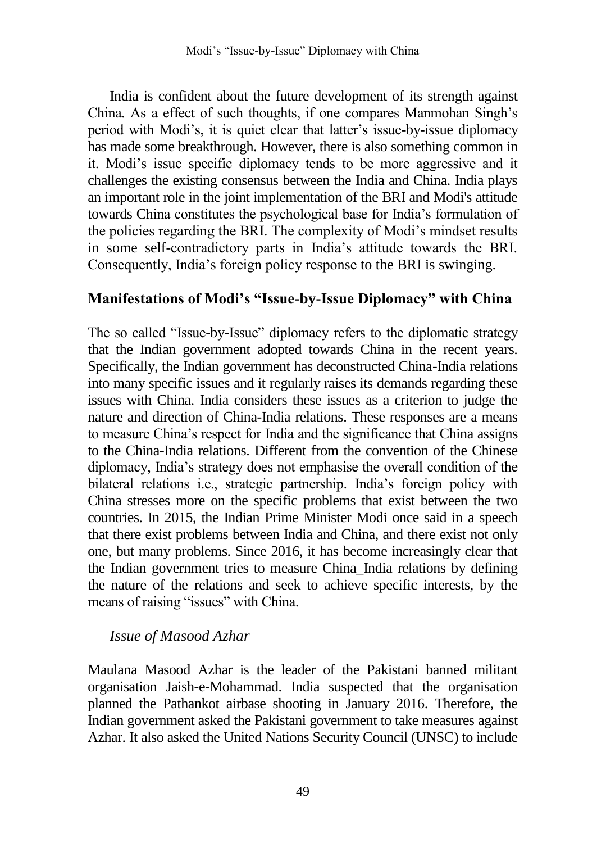India is confident about the future development of its strength against China. As a effect of such thoughts, if one compares Manmohan Singh's period with Modi's, it is quiet clear that latter's issue-by-issue diplomacy has made some breakthrough. However, there is also something common in it. Modi's issue specific diplomacy tends to be more aggressive and it challenges the existing consensus between the India and China. India plays an important role in the joint implementation of the BRI and Modi's attitude towards China constitutes the psychological base for India's formulation of the policies regarding the BRI. The complexity of Modi's mindset results in some self-contradictory parts in India's attitude towards the BRI. Consequently, India's foreign policy response to the BRI is swinging.

# **Manifestations of Modi's "Issue-by-Issue Diplomacy" with China**

The so called "Issue-by-Issue" diplomacy refers to the diplomatic strategy that the Indian government adopted towards China in the recent years. Specifically, the Indian government has deconstructed China-India relations into many specific issues and it regularly raises its demands regarding these issues with China. India considers these issues as a criterion to judge the nature and direction of China-India relations. These responses are a means to measure China's respect for India and the significance that China assigns to the China-India relations. Different from the convention of the Chinese diplomacy, India's strategy does not emphasise the overall condition of the bilateral relations i.e., strategic partnership. India's foreign policy with China stresses more on the specific problems that exist between the two countries. In 2015, the Indian Prime Minister Modi once said in a speech that there exist problems between India and China, and there exist not only one, but many problems. Since 2016, it has become increasingly clear that the Indian government tries to measure China\_India relations by defining the nature of the relations and seek to achieve specific interests, by the means of raising "issues" with China.

### *Issue of Masood Azhar*

Maulana Masood Azhar is the leader of the Pakistani banned militant organisation Jaish-e-Mohammad. India suspected that the organisation planned the Pathankot airbase shooting in January 2016. Therefore, the Indian government asked the Pakistani government to take measures against Azhar. It also asked the United Nations Security Council (UNSC) to include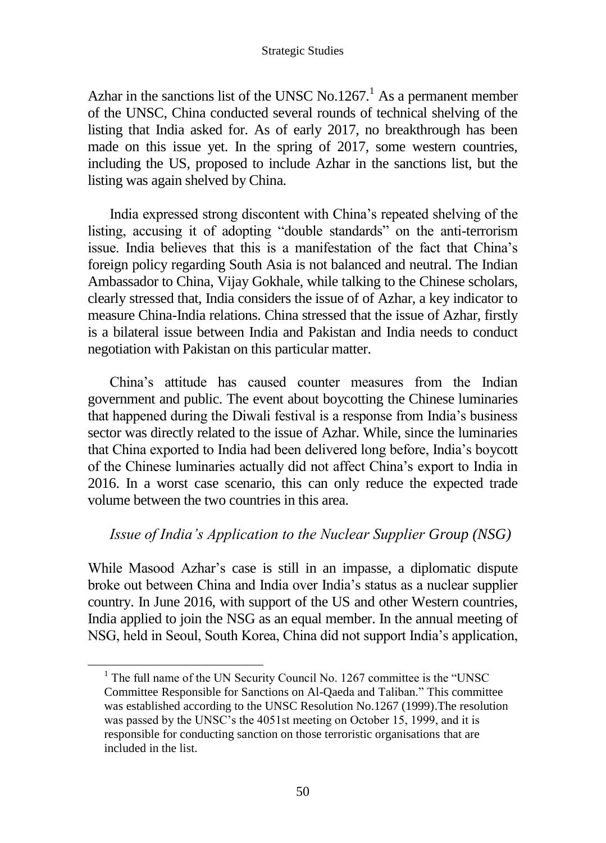Azhar in the sanctions list of the UNSC No.1267.<sup>1</sup> As a permanent member of the UNSC, China conducted several rounds of technical shelving of the listing that India asked for. As of early 2017, no breakthrough has been made on this issue yet. In the spring of 2017, some western countries, including the US, proposed to include Azhar in the sanctions list, but the listing was again shelved by China.

India expressed strong discontent with China's repeated shelving of the listing, accusing it of adopting "double standards" on the anti-terrorism issue. India believes that this is a manifestation of the fact that China's foreign policy regarding South Asia is not balanced and neutral. The Indian Ambassador to China, Vijay Gokhale, while talking to the Chinese scholars, clearly stressed that, India considers the issue of of Azhar, a key indicator to measure China-India relations. China stressed that the issue of Azhar, firstly is a bilateral issue between India and Pakistan and India needs to conduct negotiation with Pakistan on this particular matter.

China's attitude has caused counter measures from the Indian government and public. The event about boycotting the Chinese luminaries that happened during the Diwali festival is a response from India's business sector was directly related to the issue of Azhar. While, since the luminaries that China exported to India had been delivered long before, India's boycott of the Chinese luminaries actually did not affect China's export to India in 2016. In a worst case scenario, this can only reduce the expected trade volume between the two countries in this area.

### *Issue of India's Application to the Nuclear Supplier Group (NSG)*

While Masood Azhar's case is still in an impasse, a diplomatic dispute broke out between China and India over India's status as a nuclear supplier country. In June 2016, with support of the US and other Western countries, India applied to join the NSG as an equal member. In the annual meeting of NSG, held in Seoul, South Korea, China did not support India's application,

<sup>&</sup>lt;sup>1</sup> The full name of the UN Security Council No. 1267 committee is the "UNSC" Committee Responsible for Sanctions on Al-Qaeda and Taliban." This committee was established according to the UNSC Resolution No.1267 (1999).The resolution was passed by the UNSC's the 4051st meeting on October 15, 1999, and it is responsible for conducting sanction on those terroristic organisations that are included in the list.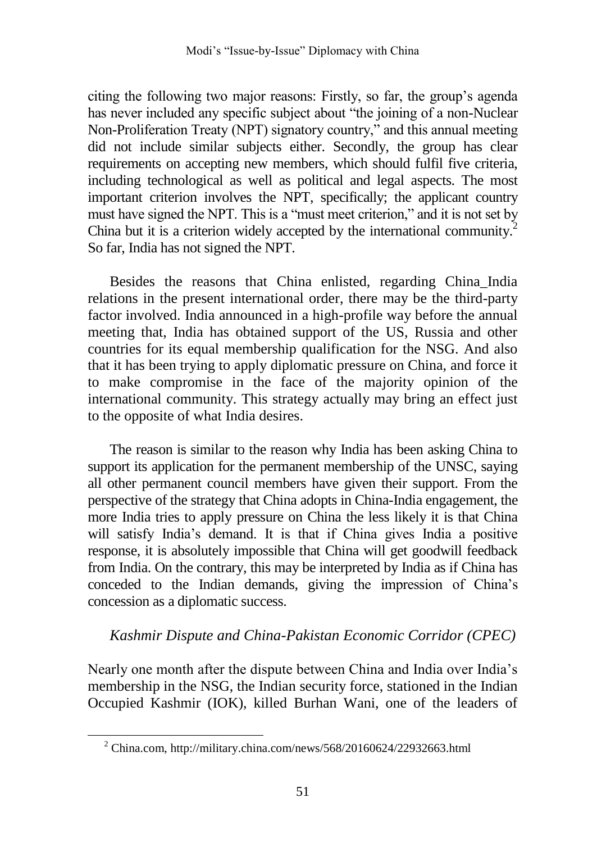citing the following two major reasons: Firstly, so far, the group's agenda has never included any specific subject about "the joining of a non-Nuclear Non-Proliferation Treaty (NPT) signatory country," and this annual meeting did not include similar subjects either. Secondly, the group has clear requirements on accepting new members, which should fulfil five criteria, including technological as well as political and legal aspects. The most important criterion involves the NPT, specifically; the applicant country must have signed the NPT. This is a "must meet criterion," and it is not set by China but it is a criterion widely accepted by the international community.<sup>2</sup> So far, India has not signed the NPT.

Besides the reasons that China enlisted, regarding China\_India relations in the present international order, there may be the third-party factor involved. India announced in a high-profile way before the annual meeting that, India has obtained support of the US, Russia and other countries for its equal membership qualification for the NSG. And also that it has been trying to apply diplomatic pressure on China, and force it to make compromise in the face of the majority opinion of the international community. This strategy actually may bring an effect just to the opposite of what India desires.

The reason is similar to the reason why India has been asking China to support its application for the permanent membership of the UNSC, saying all other permanent council members have given their support. From the perspective of the strategy that China adopts in China-India engagement, the more India tries to apply pressure on China the less likely it is that China will satisfy India's demand. It is that if China gives India a positive response, it is absolutely impossible that China will get goodwill feedback from India. On the contrary, this may be interpreted by India as if China has conceded to the Indian demands, giving the impression of China's concession as a diplomatic success.

### *Kashmir Dispute and China-Pakistan Economic Corridor (CPEC)*

Nearly one month after the dispute between China and India over India's membership in the NSG, the Indian security force, stationed in the Indian Occupied Kashmir (IOK), killed Burhan Wani, one of the leaders of

 $2$  China.com, http://military.china.com/news/568/20160624/22932663.html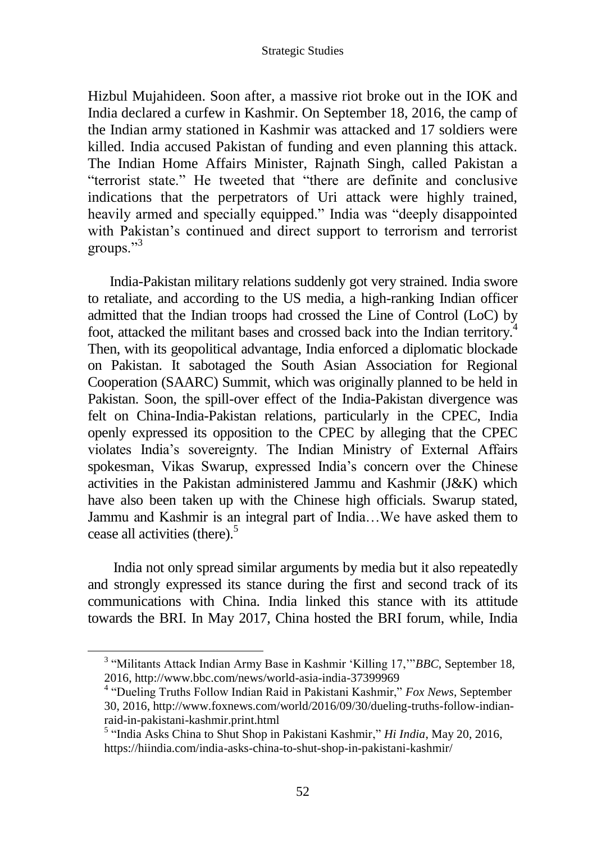Hizbul Mujahideen. Soon after, a massive riot broke out in the IOK and India declared a curfew in Kashmir. On September 18, 2016, the camp of the Indian army stationed in Kashmir was attacked and 17 soldiers were killed. India accused Pakistan of funding and even planning this attack. The Indian Home Affairs Minister, Rajnath Singh, called Pakistan a "terrorist state." He tweeted that "there are definite and conclusive indications that the perpetrators of Uri attack were highly trained, heavily armed and specially equipped." India was "deeply disappointed with Pakistan's continued and direct support to terrorism and terrorist groups."<sup>3</sup>

India-Pakistan military relations suddenly got very strained. India swore to retaliate, and according to the US media, a high-ranking Indian officer admitted that the Indian troops had crossed the Line of Control (LoC) by foot, attacked the militant bases and crossed back into the Indian territory. 4 Then, with its geopolitical advantage, India enforced a diplomatic blockade on Pakistan. It sabotaged the South Asian Association for Regional Cooperation (SAARC) Summit, which was originally planned to be held in Pakistan. Soon, the spill-over effect of the India-Pakistan divergence was felt on China-India-Pakistan relations, particularly in the CPEC, India openly expressed its opposition to the CPEC by alleging that the CPEC violates India's sovereignty. The Indian Ministry of External Affairs spokesman, Vikas Swarup, expressed India's concern over the Chinese activities in the Pakistan administered Jammu and Kashmir (J&K) which have also been taken up with the Chinese high officials. Swarup stated, Jammu and Kashmir is an integral part of India…We have asked them to cease all activities (there).<sup>5</sup>

India not only spread similar arguments by media but it also repeatedly and strongly expressed its stance during the first and second track of its communications with China. India linked this stance with its attitude towards the BRI. In May 2017, China hosted the BRI forum, while, India

<sup>3</sup> "Militants Attack Indian Army Base in Kashmir 'Killing 17,'"*BBC*, September 18, 2016, http://www.bbc.com/news/world-asia-india-37399969

<sup>4</sup> "Dueling Truths Follow Indian Raid in Pakistani Kashmir," *Fox News*, September 30, 2016, http://www.foxnews.com/world/2016/09/30/dueling-truths-follow-indianraid-in-pakistani-kashmir.print.html

<sup>5</sup> "India Asks China to Shut Shop in Pakistani Kashmir," *Hi India*, May 20, 2016, https://hiindia.com/india-asks-china-to-shut-shop-in-pakistani-kashmir/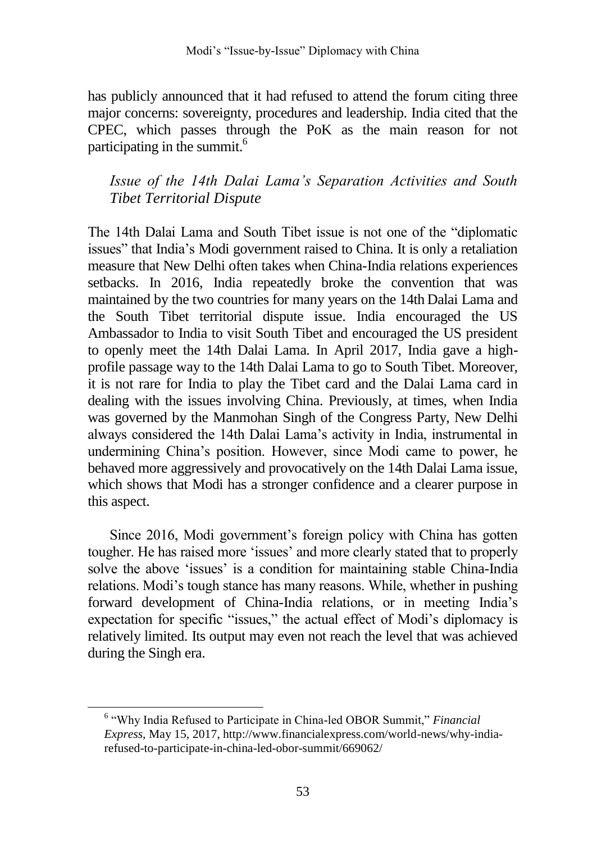has publicly announced that it had refused to attend the forum citing three major concerns: sovereignty, procedures and leadership. India cited that the CPEC, which passes through the PoK as the main reason for not participating in the summit.<sup>6</sup>

# *Issue of the 14th Dalai Lama's Separation Activities and South Tibet Territorial Dispute*

The 14th Dalai Lama and South Tibet issue is not one of the "diplomatic issues" that India's Modi government raised to China. It is only a retaliation measure that New Delhi often takes when China-India relations experiences setbacks. In 2016, India repeatedly broke the convention that was maintained by the two countries for many years on the 14th Dalai Lama and the South Tibet territorial dispute issue. India encouraged the US Ambassador to India to visit South Tibet and encouraged the US president to openly meet the 14th Dalai Lama. In April 2017, India gave a highprofile passage way to the 14th Dalai Lama to go to South Tibet. Moreover, it is not rare for India to play the Tibet card and the Dalai Lama card in dealing with the issues involving China. Previously, at times, when India was governed by the Manmohan Singh of the Congress Party, New Delhi always considered the 14th Dalai Lama's activity in India, instrumental in undermining China's position. However, since Modi came to power, he behaved more aggressively and provocatively on the 14th Dalai Lama issue, which shows that Modi has a stronger confidence and a clearer purpose in this aspect.

Since 2016, Modi government's foreign policy with China has gotten tougher. He has raised more 'issues' and more clearly stated that to properly solve the above 'issues' is a condition for maintaining stable China-India relations. Modi's tough stance has many reasons. While, whether in pushing forward development of China-India relations, or in meeting India's expectation for specific "issues," the actual effect of Modi's diplomacy is relatively limited. Its output may even not reach the level that was achieved during the Singh era.

<sup>6</sup> "Why India Refused to Participate in China-led OBOR Summit," *Financial Express,* May 15, 2017, http://www.financialexpress.com/world-news/why-indiarefused-to-participate-in-china-led-obor-summit/669062/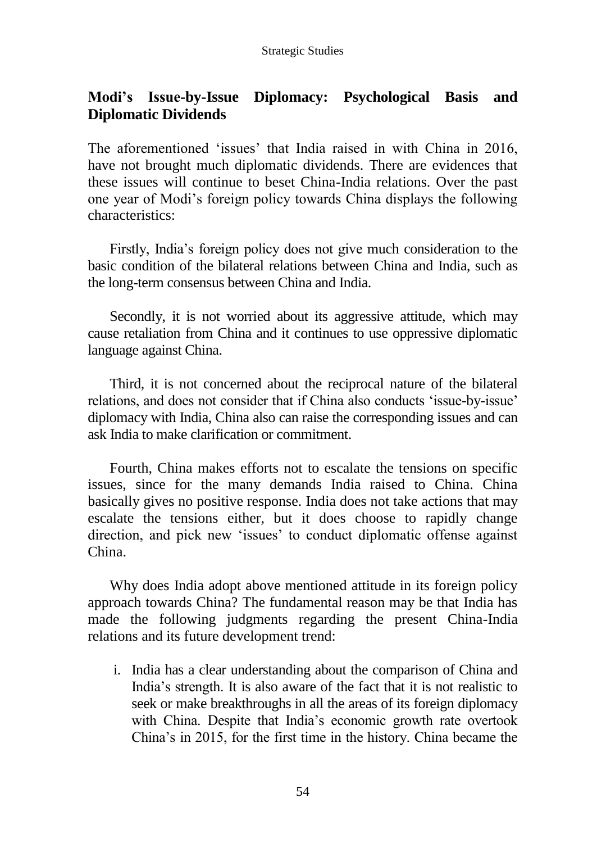# **Modi's Issue-by-Issue Diplomacy: Psychological Basis and Diplomatic Dividends**

The aforementioned 'issues' that India raised in with China in 2016, have not brought much diplomatic dividends. There are evidences that these issues will continue to beset China-India relations. Over the past one year of Modi's foreign policy towards China displays the following characteristics:

Firstly, India's foreign policy does not give much consideration to the basic condition of the bilateral relations between China and India, such as the long-term consensus between China and India.

Secondly, it is not worried about its aggressive attitude, which may cause retaliation from China and it continues to use oppressive diplomatic language against China.

Third, it is not concerned about the reciprocal nature of the bilateral relations, and does not consider that if China also conducts 'issue-by-issue' diplomacy with India, China also can raise the corresponding issues and can ask India to make clarification or commitment.

Fourth, China makes efforts not to escalate the tensions on specific issues, since for the many demands India raised to China. China basically gives no positive response. India does not take actions that may escalate the tensions either, but it does choose to rapidly change direction, and pick new 'issues' to conduct diplomatic offense against China.

Why does India adopt above mentioned attitude in its foreign policy approach towards China? The fundamental reason may be that India has made the following judgments regarding the present China-India relations and its future development trend:

i. India has a clear understanding about the comparison of China and India's strength. It is also aware of the fact that it is not realistic to seek or make breakthroughs in all the areas of its foreign diplomacy with China. Despite that India's economic growth rate overtook China's in 2015, for the first time in the history. China became the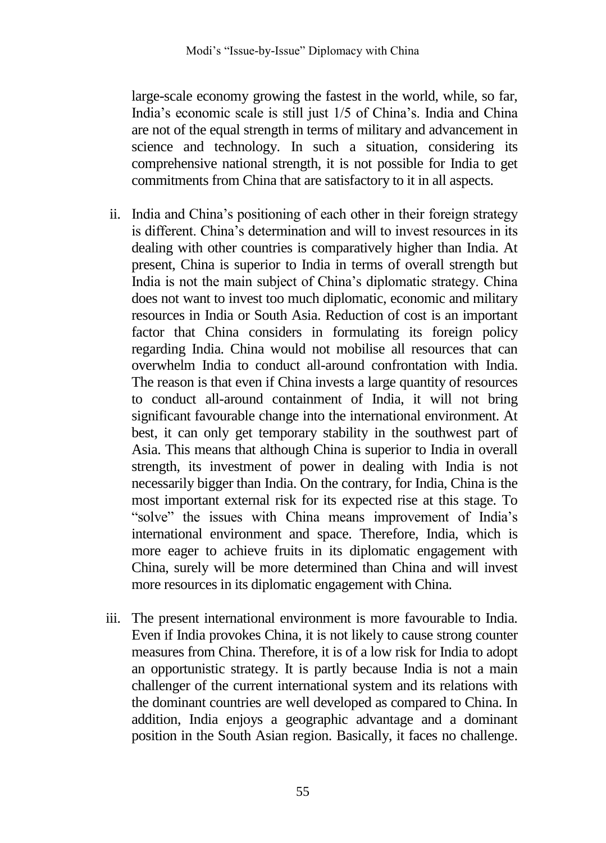large-scale economy growing the fastest in the world, while, so far, India's economic scale is still just 1/5 of China's. India and China are not of the equal strength in terms of military and advancement in science and technology. In such a situation, considering its comprehensive national strength, it is not possible for India to get commitments from China that are satisfactory to it in all aspects.

- ii. India and China's positioning of each other in their foreign strategy is different. China's determination and will to invest resources in its dealing with other countries is comparatively higher than India. At present, China is superior to India in terms of overall strength but India is not the main subject of China's diplomatic strategy. China does not want to invest too much diplomatic, economic and military resources in India or South Asia. Reduction of cost is an important factor that China considers in formulating its foreign policy regarding India. China would not mobilise all resources that can overwhelm India to conduct all-around confrontation with India. The reason is that even if China invests a large quantity of resources to conduct all-around containment of India, it will not bring significant favourable change into the international environment. At best, it can only get temporary stability in the southwest part of Asia. This means that although China is superior to India in overall strength, its investment of power in dealing with India is not necessarily bigger than India. On the contrary, for India, China is the most important external risk for its expected rise at this stage. To "solve" the issues with China means improvement of India's international environment and space. Therefore, India, which is more eager to achieve fruits in its diplomatic engagement with China, surely will be more determined than China and will invest more resources in its diplomatic engagement with China.
- iii. The present international environment is more favourable to India. Even if India provokes China, it is not likely to cause strong counter measures from China. Therefore, it is of a low risk for India to adopt an opportunistic strategy. It is partly because India is not a main challenger of the current international system and its relations with the dominant countries are well developed as compared to China. In addition, India enjoys a geographic advantage and a dominant position in the South Asian region. Basically, it faces no challenge.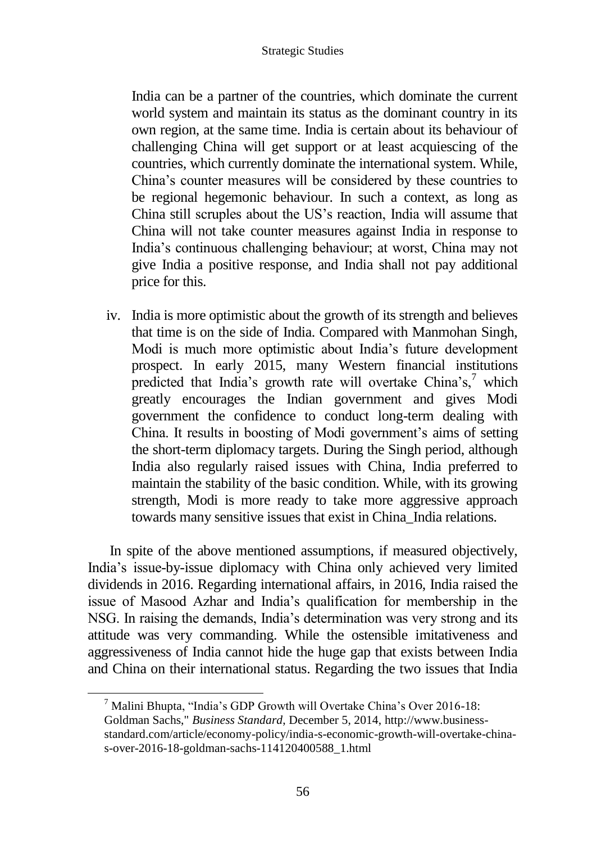India can be a partner of the countries, which dominate the current world system and maintain its status as the dominant country in its own region, at the same time. India is certain about its behaviour of challenging China will get support or at least acquiescing of the countries, which currently dominate the international system. While, China's counter measures will be considered by these countries to be regional hegemonic behaviour. In such a context, as long as China still scruples about the US's reaction, India will assume that China will not take counter measures against India in response to India's continuous challenging behaviour; at worst, China may not give India a positive response, and India shall not pay additional price for this.

iv. India is more optimistic about the growth of its strength and believes that time is on the side of India. Compared with Manmohan Singh, Modi is much more optimistic about India's future development prospect. In early 2015, many Western financial institutions predicted that India's growth rate will overtake China's, $\frac{7}{1}$  which greatly encourages the Indian government and gives Modi government the confidence to conduct long-term dealing with China. It results in boosting of Modi government's aims of setting the short-term diplomacy targets. During the Singh period, although India also regularly raised issues with China, India preferred to maintain the stability of the basic condition. While, with its growing strength, Modi is more ready to take more aggressive approach towards many sensitive issues that exist in China\_India relations.

In spite of the above mentioned assumptions, if measured objectively, India's issue-by-issue diplomacy with China only achieved very limited dividends in 2016. Regarding international affairs, in 2016, India raised the issue of Masood Azhar and India's qualification for membership in the NSG. In raising the demands, India's determination was very strong and its attitude was very commanding. While the ostensible imitativeness and aggressiveness of India cannot hide the huge gap that exists between India and China on their international status. Regarding the two issues that India

 $\frac{7}{1}$  [Malini Bhupta,](http://www.business-standard.com/author/search/keyword/malini-bhupta) "India's GDP Growth will Overtake China's Over 2016-18: Goldman Sachs," *Business Standard*, December 5, 2014, http://www.businessstandard.com/article/economy-policy/india-s-economic-growth-will-overtake-chinas-over-2016-18-goldman-sachs-114120400588\_1.html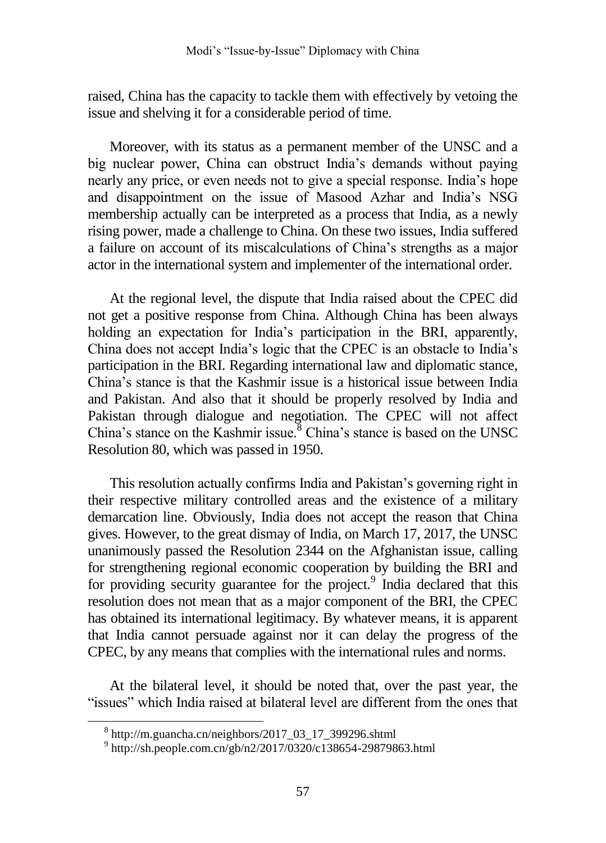raised, China has the capacity to tackle them with effectively by vetoing the issue and shelving it for a considerable period of time.

Moreover, with its status as a permanent member of the UNSC and a big nuclear power, China can obstruct India's demands without paying nearly any price, or even needs not to give a special response. India's hope and disappointment on the issue of Masood Azhar and India's NSG membership actually can be interpreted as a process that India, as a newly rising power, made a challenge to China. On these two issues, India suffered a failure on account of its miscalculations of China's strengths as a major actor in the international system and implementer of the international order.

At the regional level, the dispute that India raised about the CPEC did not get a positive response from China. Although China has been always holding an expectation for India's participation in the BRI, apparently, China does not accept India's logic that the CPEC is an obstacle to India's participation in the BRI. Regarding international law and diplomatic stance, China's stance is that the Kashmir issue is a historical issue between India and Pakistan. And also that it should be properly resolved by India and Pakistan through dialogue and negotiation. The CPEC will not affect China's stance on the Kashmir issue. $8$  China's stance is based on the UNSC Resolution 80, which was passed in 1950.

This resolution actually confirms India and Pakistan's governing right in their respective military controlled areas and the existence of a military demarcation line. Obviously, India does not accept the reason that China gives. However, to the great dismay of India, on March 17, 2017, the UNSC unanimously passed the Resolution 2344 on the Afghanistan issue, calling for strengthening regional economic cooperation by building the BRI and for providing security guarantee for the project.<sup>9</sup> India declared that this resolution does not mean that as a major component of the BRI, the CPEC has obtained its international legitimacy. By whatever means, it is apparent that India cannot persuade against nor it can delay the progress of the CPEC, by any means that complies with the international rules and norms.

At the bilateral level, it should be noted that, over the past year, the "issues" which India raised at bilateral level are different from the ones that

 $\overline{a}$ 

<sup>8</sup> http://m.guancha.cn/neighbors/2017\_03\_17\_399296.shtml

<sup>9</sup> http://sh.people.com.cn/gb/n2/2017/0320/c138654-29879863.html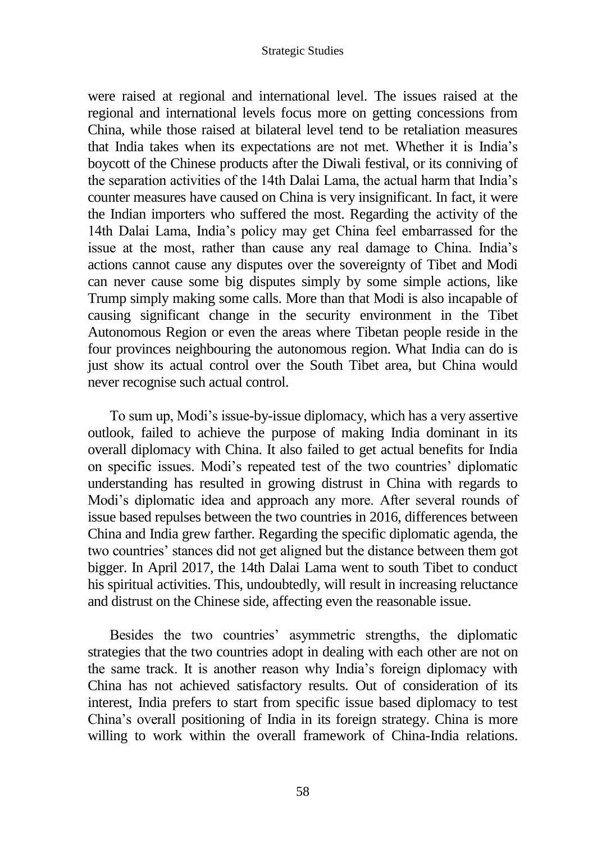were raised at regional and international level. The issues raised at the regional and international levels focus more on getting concessions from China, while those raised at bilateral level tend to be retaliation measures that India takes when its expectations are not met. Whether it is India's boycott of the Chinese products after the Diwali festival, or its conniving of the separation activities of the 14th Dalai Lama, the actual harm that India's counter measures have caused on China is very insignificant. In fact, it were the Indian importers who suffered the most. Regarding the activity of the 14th Dalai Lama, India's policy may get China feel embarrassed for the issue at the most, rather than cause any real damage to China. India's actions cannot cause any disputes over the sovereignty of Tibet and Modi can never cause some big disputes simply by some simple actions, like Trump simply making some calls. More than that Modi is also incapable of causing significant change in the security environment in the Tibet Autonomous Region or even the areas where Tibetan people reside in the four provinces neighbouring the autonomous region. What India can do is just show its actual control over the South Tibet area, but China would never recognise such actual control.

To sum up, Modi's issue-by-issue diplomacy, which has a very assertive outlook, failed to achieve the purpose of making India dominant in its overall diplomacy with China. It also failed to get actual benefits for India on specific issues. Modi's repeated test of the two countries' diplomatic understanding has resulted in growing distrust in China with regards to Modi's diplomatic idea and approach any more. After several rounds of issue based repulses between the two countries in 2016, differences between China and India grew farther. Regarding the specific diplomatic agenda, the two countries' stances did not get aligned but the distance between them got bigger. In April 2017, the 14th Dalai Lama went to south Tibet to conduct his spiritual activities. This, undoubtedly, will result in increasing reluctance and distrust on the Chinese side, affecting even the reasonable issue.

Besides the two countries' asymmetric strengths, the diplomatic strategies that the two countries adopt in dealing with each other are not on the same track. It is another reason why India's foreign diplomacy with China has not achieved satisfactory results. Out of consideration of its interest, India prefers to start from specific issue based diplomacy to test China's overall positioning of India in its foreign strategy. China is more willing to work within the overall framework of China-India relations.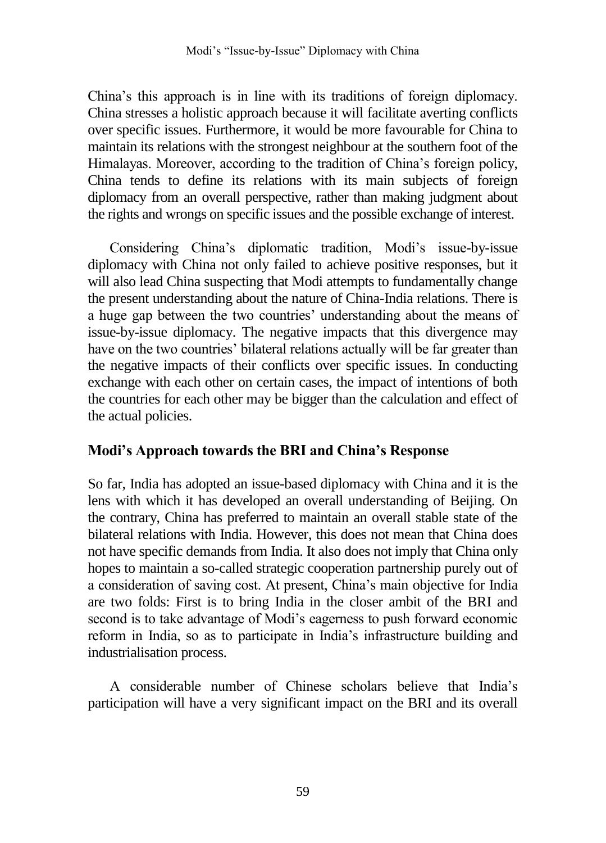China's this approach is in line with its traditions of foreign diplomacy. China stresses a holistic approach because it will facilitate averting conflicts over specific issues. Furthermore, it would be more favourable for China to maintain its relations with the strongest neighbour at the southern foot of the Himalayas. Moreover, according to the tradition of China's foreign policy, China tends to define its relations with its main subjects of foreign diplomacy from an overall perspective, rather than making judgment about the rights and wrongs on specific issues and the possible exchange of interest.

Considering China's diplomatic tradition, Modi's issue-by-issue diplomacy with China not only failed to achieve positive responses, but it will also lead China suspecting that Modi attempts to fundamentally change the present understanding about the nature of China-India relations. There is a huge gap between the two countries' understanding about the means of issue-by-issue diplomacy. The negative impacts that this divergence may have on the two countries' bilateral relations actually will be far greater than the negative impacts of their conflicts over specific issues. In conducting exchange with each other on certain cases, the impact of intentions of both the countries for each other may be bigger than the calculation and effect of the actual policies.

### **Modi's Approach towards the BRI and China's Response**

So far, India has adopted an issue-based diplomacy with China and it is the lens with which it has developed an overall understanding of Beijing. On the contrary, China has preferred to maintain an overall stable state of the bilateral relations with India. However, this does not mean that China does not have specific demands from India. It also does not imply that China only hopes to maintain a so-called strategic cooperation partnership purely out of a consideration of saving cost. At present, China's main objective for India are two folds: First is to bring India in the closer ambit of the BRI and second is to take advantage of Modi's eagerness to push forward economic reform in India, so as to participate in India's infrastructure building and industrialisation process.

A considerable number of Chinese scholars believe that India's participation will have a very significant impact on the BRI and its overall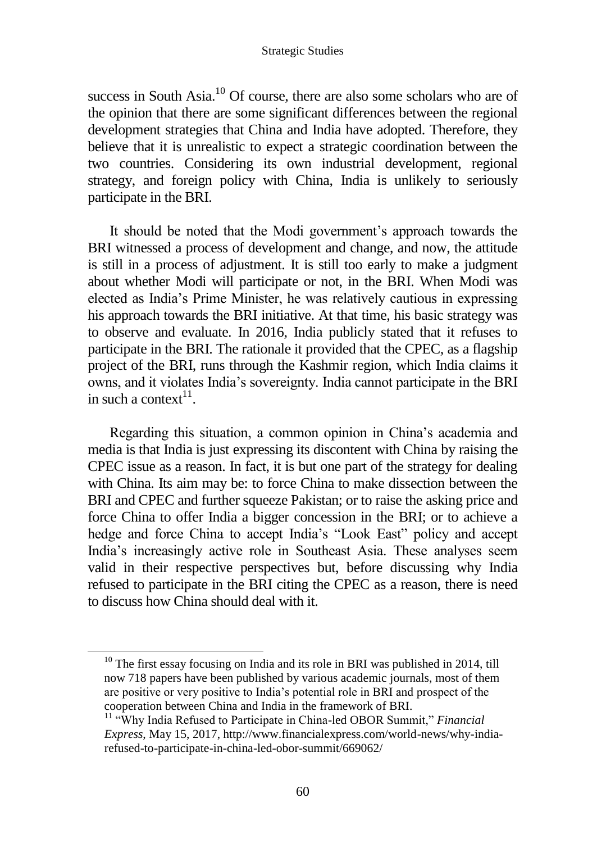success in South Asia.<sup>10</sup> Of course, there are also some scholars who are of the opinion that there are some significant differences between the regional development strategies that China and India have adopted. Therefore, they believe that it is unrealistic to expect a strategic coordination between the two countries. Considering its own industrial development, regional strategy, and foreign policy with China, India is unlikely to seriously participate in the BRI.

It should be noted that the Modi government's approach towards the BRI witnessed a process of development and change, and now, the attitude is still in a process of adjustment. It is still too early to make a judgment about whether Modi will participate or not, in the BRI. When Modi was elected as India's Prime Minister, he was relatively cautious in expressing his approach towards the BRI initiative. At that time, his basic strategy was to observe and evaluate. In 2016, India publicly stated that it refuses to participate in the BRI. The rationale it provided that the CPEC, as a flagship project of the BRI, runs through the Kashmir region, which India claims it owns, and it violates India's sovereignty. India cannot participate in the BRI in such a context $11$ .

Regarding this situation, a common opinion in China's academia and media is that India is just expressing its discontent with China by raising the CPEC issue as a reason. In fact, it is but one part of the strategy for dealing with China. Its aim may be: to force China to make dissection between the BRI and CPEC and further squeeze Pakistan; or to raise the asking price and force China to offer India a bigger concession in the BRI; or to achieve a hedge and force China to accept India's "Look East" policy and accept India's increasingly active role in Southeast Asia. These analyses seem valid in their respective perspectives but, before discussing why India refused to participate in the BRI citing the CPEC as a reason, there is need to discuss how China should deal with it.

<sup>&</sup>lt;sup>10</sup> The first essay focusing on India and its role in BRI was published in 2014, till now 718 papers have been published by various academic journals, most of them are positive or very positive to India's potential role in BRI and prospect of the cooperation between China and India in the framework of BRI.

<sup>11</sup> "Why India Refused to Participate in China-led OBOR Summit," *Financial Express*, May 15, 2017, http://www.financialexpress.com/world-news/why-indiarefused-to-participate-in-china-led-obor-summit/669062/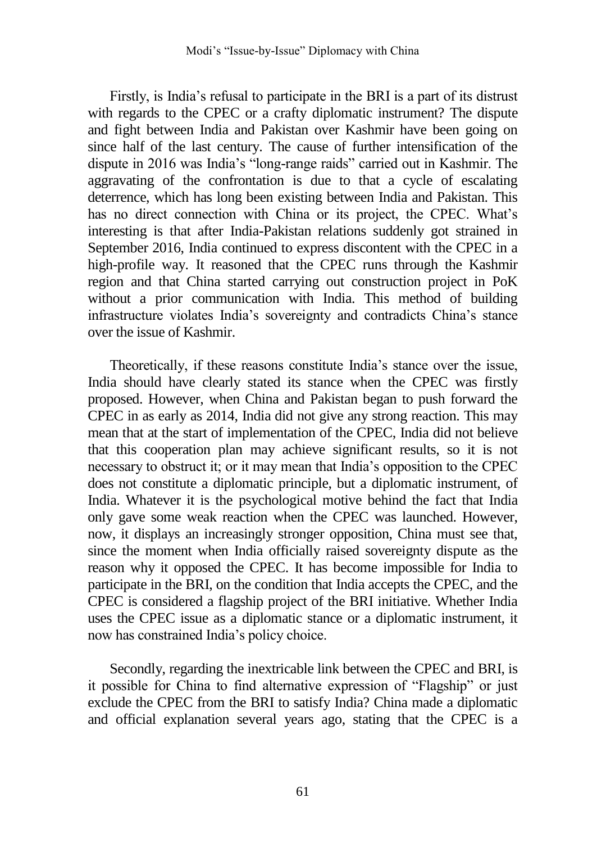Firstly, is India's refusal to participate in the BRI is a part of its distrust with regards to the CPEC or a crafty diplomatic instrument? The dispute and fight between India and Pakistan over Kashmir have been going on since half of the last century. The cause of further intensification of the dispute in 2016 was India's "long-range raids" carried out in Kashmir. The aggravating of the confrontation is due to that a cycle of escalating deterrence, which has long been existing between India and Pakistan. This has no direct connection with China or its project, the CPEC. What's interesting is that after India-Pakistan relations suddenly got strained in September 2016, India continued to express discontent with the CPEC in a high-profile way. It reasoned that the CPEC runs through the Kashmir region and that China started carrying out construction project in PoK without a prior communication with India. This method of building infrastructure violates India's sovereignty and contradicts China's stance over the issue of Kashmir.

Theoretically, if these reasons constitute India's stance over the issue, India should have clearly stated its stance when the CPEC was firstly proposed. However, when China and Pakistan began to push forward the CPEC in as early as 2014, India did not give any strong reaction. This may mean that at the start of implementation of the CPEC, India did not believe that this cooperation plan may achieve significant results, so it is not necessary to obstruct it; or it may mean that India's opposition to the CPEC does not constitute a diplomatic principle, but a diplomatic instrument, of India. Whatever it is the psychological motive behind the fact that India only gave some weak reaction when the CPEC was launched. However, now, it displays an increasingly stronger opposition, China must see that, since the moment when India officially raised sovereignty dispute as the reason why it opposed the CPEC. It has become impossible for India to participate in the BRI, on the condition that India accepts the CPEC, and the CPEC is considered a flagship project of the BRI initiative. Whether India uses the CPEC issue as a diplomatic stance or a diplomatic instrument, it now has constrained India's policy choice.

Secondly, regarding the inextricable link between the CPEC and BRI, is it possible for China to find alternative expression of "Flagship" or just exclude the CPEC from the BRI to satisfy India? China made a diplomatic and official explanation several years ago, stating that the CPEC is a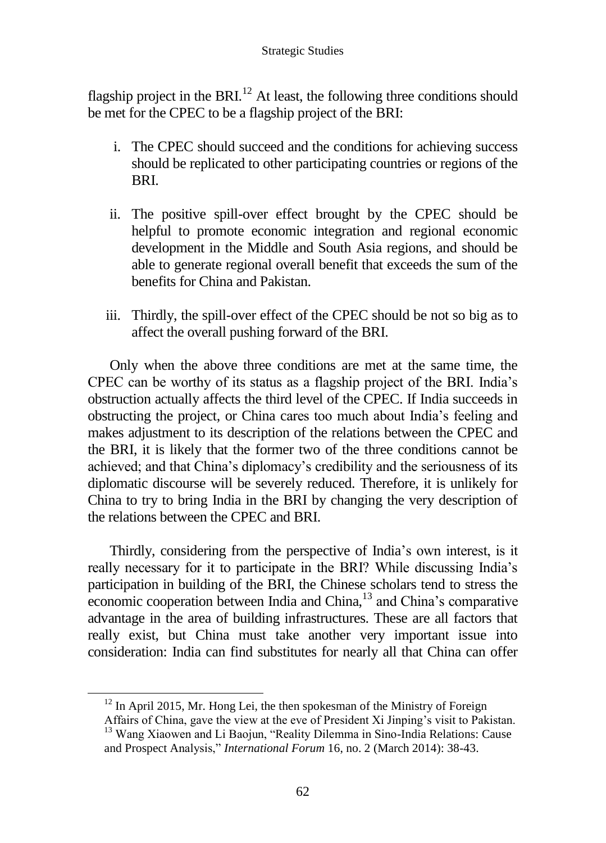flagship project in the BRI.<sup>12</sup> At least, the following three conditions should be met for the CPEC to be a flagship project of the BRI:

- i. The CPEC should succeed and the conditions for achieving success should be replicated to other participating countries or regions of the BRI.
- ii. The positive spill-over effect brought by the CPEC should be helpful to promote economic integration and regional economic development in the Middle and South Asia regions, and should be able to generate regional overall benefit that exceeds the sum of the benefits for China and Pakistan.
- iii. Thirdly, the spill-over effect of the CPEC should be not so big as to affect the overall pushing forward of the BRI.

Only when the above three conditions are met at the same time, the CPEC can be worthy of its status as a flagship project of the BRI. India's obstruction actually affects the third level of the CPEC. If India succeeds in obstructing the project, or China cares too much about India's feeling and makes adjustment to its description of the relations between the CPEC and the BRI, it is likely that the former two of the three conditions cannot be achieved; and that China's diplomacy's credibility and the seriousness of its diplomatic discourse will be severely reduced. Therefore, it is unlikely for China to try to bring India in the BRI by changing the very description of the relations between the CPEC and BRI.

Thirdly, considering from the perspective of India's own interest, is it really necessary for it to participate in the BRI? While discussing India's participation in building of the BRI, the Chinese scholars tend to stress the economic cooperation between India and China,<sup>13</sup> and China's comparative advantage in the area of building infrastructures. These are all factors that really exist, but China must take another very important issue into consideration: India can find substitutes for nearly all that China can offer

 $12$  In April 2015, Mr. Hong Lei, the then spokesman of the Ministry of Foreign

Affairs of China, gave the view at the eve of President Xi Jinping's visit to Pakistan. <sup>13</sup> Wang Xiaowen and Li Baojun, "Reality Dilemma in Sino-India Relations: Cause

and Prospect Analysis," *International Forum* 16, no. 2 (March 2014): 38-43.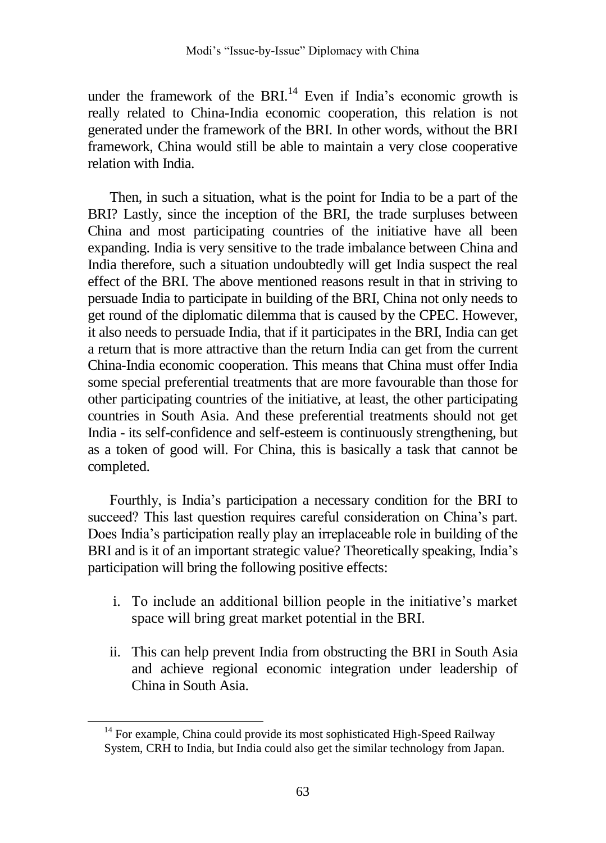under the framework of the BRI.<sup>14</sup> Even if India's economic growth is really related to China-India economic cooperation, this relation is not generated under the framework of the BRI. In other words, without the BRI framework, China would still be able to maintain a very close cooperative relation with India.

Then, in such a situation, what is the point for India to be a part of the BRI? Lastly, since the inception of the BRI, the trade surpluses between China and most participating countries of the initiative have all been expanding. India is very sensitive to the trade imbalance between China and India therefore, such a situation undoubtedly will get India suspect the real effect of the BRI. The above mentioned reasons result in that in striving to persuade India to participate in building of the BRI, China not only needs to get round of the diplomatic dilemma that is caused by the CPEC. However, it also needs to persuade India, that if it participates in the BRI, India can get a return that is more attractive than the return India can get from the current China-India economic cooperation. This means that China must offer India some special preferential treatments that are more favourable than those for other participating countries of the initiative, at least, the other participating countries in South Asia. And these preferential treatments should not get India - its self-confidence and self-esteem is continuously strengthening, but as a token of good will. For China, this is basically a task that cannot be completed.

Fourthly, is India's participation a necessary condition for the BRI to succeed? This last question requires careful consideration on China's part. Does India's participation really play an irreplaceable role in building of the BRI and is it of an important strategic value? Theoretically speaking, India's participation will bring the following positive effects:

- i. To include an additional billion people in the initiative's market space will bring great market potential in the BRI.
- ii. This can help prevent India from obstructing the BRI in South Asia and achieve regional economic integration under leadership of China in South Asia.

 $\overline{a}$ 

<sup>&</sup>lt;sup>14</sup> For example, China could provide its most sophisticated High-Speed Railway System, CRH to India, but India could also get the similar technology from Japan.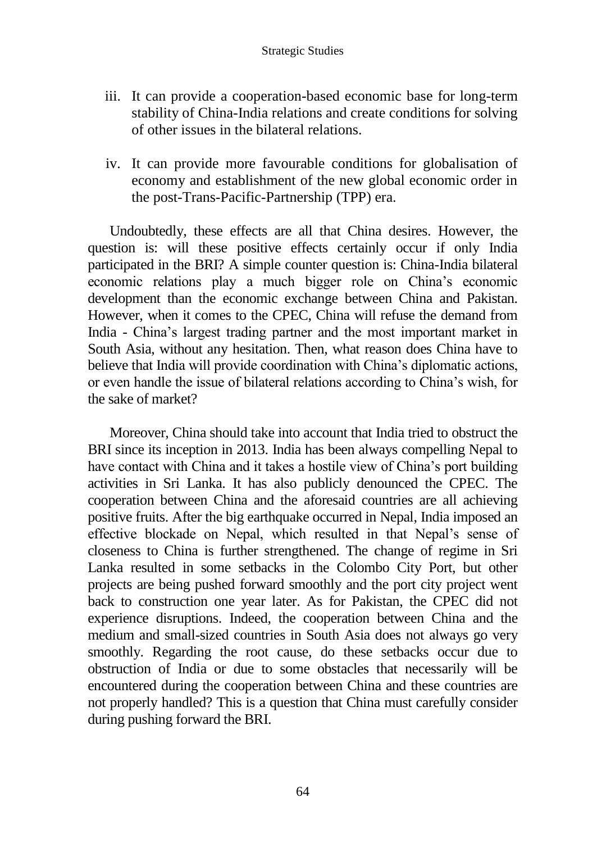- iii. It can provide a cooperation-based economic base for long-term stability of China-India relations and create conditions for solving of other issues in the bilateral relations.
- iv. It can provide more favourable conditions for globalisation of economy and establishment of the new global economic order in the post-Trans-Pacific-Partnership (TPP) era.

Undoubtedly, these effects are all that China desires. However, the question is: will these positive effects certainly occur if only India participated in the BRI? A simple counter question is: China-India bilateral economic relations play a much bigger role on China's economic development than the economic exchange between China and Pakistan. However, when it comes to the CPEC, China will refuse the demand from India - China's largest trading partner and the most important market in South Asia, without any hesitation. Then, what reason does China have to believe that India will provide coordination with China's diplomatic actions, or even handle the issue of bilateral relations according to China's wish, for the sake of market?

Moreover, China should take into account that India tried to obstruct the BRI since its inception in 2013. India has been always compelling Nepal to have contact with China and it takes a hostile view of China's port building activities in Sri Lanka. It has also publicly denounced the CPEC. The cooperation between China and the aforesaid countries are all achieving positive fruits. After the big earthquake occurred in Nepal, India imposed an effective blockade on Nepal, which resulted in that Nepal's sense of closeness to China is further strengthened. The change of regime in Sri Lanka resulted in some setbacks in the Colombo City Port, but other projects are being pushed forward smoothly and the port city project went back to construction one year later. As for Pakistan, the CPEC did not experience disruptions. Indeed, the cooperation between China and the medium and small-sized countries in South Asia does not always go very smoothly. Regarding the root cause, do these setbacks occur due to obstruction of India or due to some obstacles that necessarily will be encountered during the cooperation between China and these countries are not properly handled? This is a question that China must carefully consider during pushing forward the BRI.